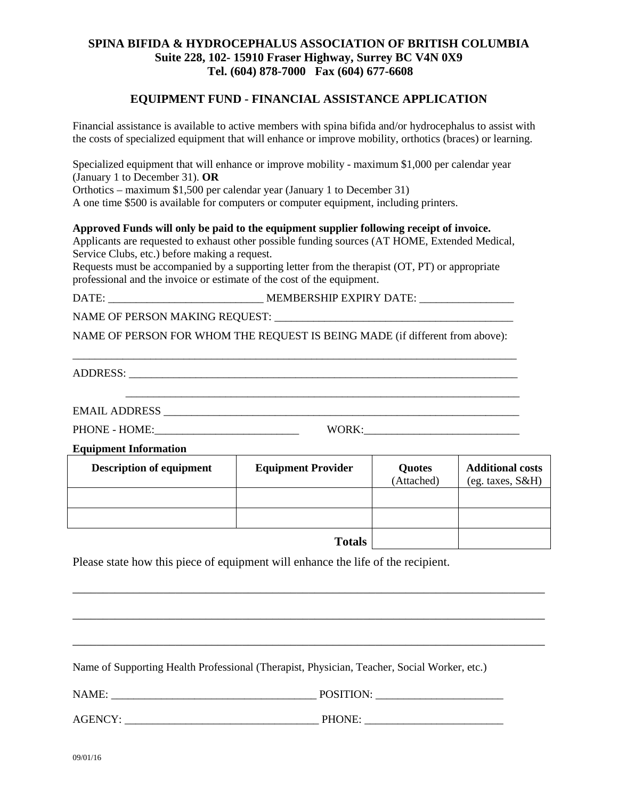# **SPINA BIFIDA & HYDROCEPHALUS ASSOCIATION OF BRITISH COLUMBIA Suite 228, 102- 15910 Fraser Highway, Surrey BC V4N 0X9 Tel. (604) 878-7000 Fax (604) 677-6608**

### **EQUIPMENT FUND - FINANCIAL ASSISTANCE APPLICATION**

Financial assistance is available to active members with spina bifida and/or hydrocephalus to assist with the costs of specialized equipment that will enhance or improve mobility, orthotics (braces) or learning.

Specialized equipment that will enhance or improve mobility - maximum \$1,000 per calendar year (January 1 to December 31). **OR** Orthotics – maximum \$1,500 per calendar year (January 1 to December 31) A one time \$500 is available for computers or computer equipment, including printers.

#### **Approved Funds will only be paid to the equipment supplier following receipt of invoice.**

Applicants are requested to exhaust other possible funding sources (AT HOME, Extended Medical, Service Clubs, etc.) before making a request.

Requests must be accompanied by a supporting letter from the therapist (OT, PT) or appropriate professional and the invoice or estimate of the cost of the equipment.

DATE: \_\_\_\_\_\_\_\_\_\_\_\_\_\_\_\_\_\_\_\_\_\_\_\_\_\_\_\_ MEMBERSHIP EXPIRY DATE: \_\_\_\_\_\_\_\_\_\_\_\_\_\_\_\_\_

NAME OF PERSON MAKING REQUEST:

NAME OF PERSON FOR WHOM THE REQUEST IS BEING MADE (if different from above):

\_\_\_\_\_\_\_\_\_\_\_\_\_\_\_\_\_\_\_\_\_\_\_\_\_\_\_\_\_\_\_\_\_\_\_\_\_\_\_\_\_\_\_\_\_\_\_\_\_\_\_\_\_\_\_\_\_\_\_\_\_\_\_\_\_\_\_\_\_\_\_\_\_\_\_\_\_\_\_\_

ADDRESS:

EMAIL ADDRESS

PHONE - HOME:\_\_\_\_\_\_\_\_\_\_\_\_\_\_\_\_\_\_\_\_\_\_\_\_\_\_ WORK:\_\_\_\_\_\_\_\_\_\_\_\_\_\_\_\_\_\_\_\_\_\_\_\_\_\_\_\_

**Equipment Information**

| <b>Description of equipment</b> | <b>Equipment Provider</b> | Quotes<br>(Attached) | <b>Additional costs</b><br>(eg. taxes, S&H) |
|---------------------------------|---------------------------|----------------------|---------------------------------------------|
|                                 |                           |                      |                                             |
|                                 |                           |                      |                                             |
|                                 | <b>Totals</b>             |                      |                                             |

\_\_\_\_\_\_\_\_\_\_\_\_\_\_\_\_\_\_\_\_\_\_\_\_\_\_\_\_\_\_\_\_\_\_\_\_\_\_\_\_\_\_\_\_\_\_\_\_\_\_\_\_\_\_\_\_\_\_\_\_\_\_\_\_\_\_\_\_\_\_\_\_\_\_\_\_\_\_

\_\_\_\_\_\_\_\_\_\_\_\_\_\_\_\_\_\_\_\_\_\_\_\_\_\_\_\_\_\_\_\_\_\_\_\_\_\_\_\_\_\_\_\_\_\_\_\_\_\_\_\_\_\_\_\_\_\_\_\_\_\_\_\_\_\_\_\_\_\_\_\_\_\_\_\_\_\_

\_\_\_\_\_\_\_\_\_\_\_\_\_\_\_\_\_\_\_\_\_\_\_\_\_\_\_\_\_\_\_\_\_\_\_\_\_\_\_\_\_\_\_\_\_\_\_\_\_\_\_\_\_\_\_\_\_\_\_\_\_\_\_\_\_\_\_\_\_\_\_\_\_\_\_\_\_\_

\_\_\_\_\_\_\_\_\_\_\_\_\_\_\_\_\_\_\_\_\_\_\_\_\_\_\_\_\_\_\_\_\_\_\_\_\_\_\_\_\_\_\_\_\_\_\_\_\_\_\_\_\_\_\_\_\_\_\_\_\_\_\_\_\_\_\_\_\_\_\_

Please state how this piece of equipment will enhance the life of the recipient.

Name of Supporting Health Professional (Therapist, Physician, Teacher, Social Worker, etc.)

NAME: \_\_\_\_\_\_\_\_\_\_\_\_\_\_\_\_\_\_\_\_\_\_\_\_\_\_\_\_\_\_\_\_\_\_\_\_\_ POSITION: \_\_\_\_\_\_\_\_\_\_\_\_\_\_\_\_\_\_\_\_\_\_\_

AGENCY: \_\_\_\_\_\_\_\_\_\_\_\_\_\_\_\_\_\_\_\_\_\_\_\_\_\_\_\_\_\_\_\_\_\_\_ PHONE: \_\_\_\_\_\_\_\_\_\_\_\_\_\_\_\_\_\_\_\_\_\_\_\_\_